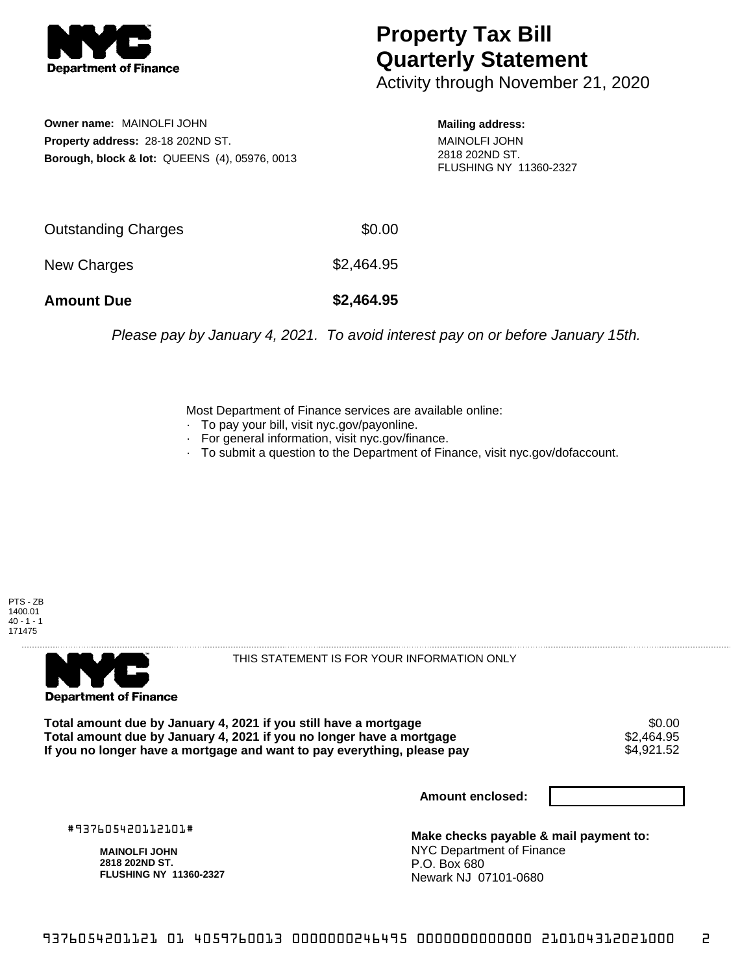

## **Property Tax Bill Quarterly Statement**

Activity through November 21, 2020

**Owner name:** MAINOLFI JOHN **Property address:** 28-18 202ND ST. **Borough, block & lot:** QUEENS (4), 05976, 0013 **Mailing address:**

MAINOLFI JOHN 2818 202ND ST. FLUSHING NY 11360-2327

| <b>Amount Due</b>   | \$2,464.95 |
|---------------------|------------|
| New Charges         | \$2,464.95 |
| Outstanding Charges | \$0.00     |

Please pay by January 4, 2021. To avoid interest pay on or before January 15th.

Most Department of Finance services are available online:

- · To pay your bill, visit nyc.gov/payonline.
- For general information, visit nyc.gov/finance.
- · To submit a question to the Department of Finance, visit nyc.gov/dofaccount.

PTS - ZB 1400.01  $40 - 1 - 1$ 171475



THIS STATEMENT IS FOR YOUR INFORMATION ONLY

Total amount due by January 4, 2021 if you still have a mortgage \$0.00<br>Total amount due by January 4, 2021 if you no longer have a mortgage \$2.464.95 **Total amount due by January 4, 2021 if you no longer have a mortgage**  $$2,464.95$ **<br>If you no longer have a mortgage and want to pay everything, please pay**  $$4.921.52$ If you no longer have a mortgage and want to pay everything, please pay

**Amount enclosed:**

#937605420112101#

**MAINOLFI JOHN 2818 202ND ST. FLUSHING NY 11360-2327**

**Make checks payable & mail payment to:** NYC Department of Finance P.O. Box 680 Newark NJ 07101-0680